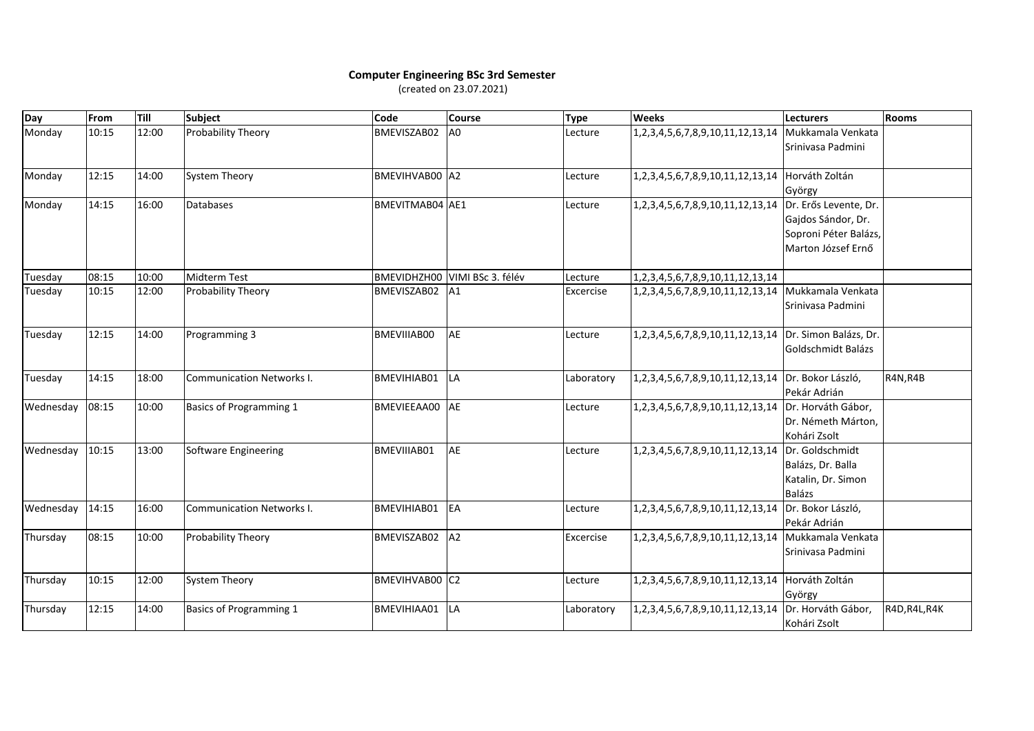## **Computer Engineering BSc 3rd Semester** (created on 23.07.2021)

| Day       | From  | Till  | <b>Subject</b>                   | Code            | <b>Course</b>     | <b>Type</b> | <b>Weeks</b>                                           | Lecturers                                                         | <b>Rooms</b>  |
|-----------|-------|-------|----------------------------------|-----------------|-------------------|-------------|--------------------------------------------------------|-------------------------------------------------------------------|---------------|
| Monday    | 10:15 | 12:00 | Probability Theory               | BMEVISZAB02     | A <sub>0</sub>    | Lecture     | 1,2,3,4,5,6,7,8,9,10,11,12,13,14   Mukkamala Venkata   | Srinivasa Padmini                                                 |               |
| Monday    | 12:15 | 14:00 | System Theory                    | BMEVIHVAB00 A2  |                   | Lecture     | 1,2,3,4,5,6,7,8,9,10,11,12,13,14 Horváth Zoltán        | György                                                            |               |
| Monday    | 14:15 | 16:00 | <b>Databases</b>                 | BMEVITMAB04 AE1 |                   | Lecture     | 1,2,3,4,5,6,7,8,9,10,11,12,13,14 Dr. Erős Levente, Dr. | Gajdos Sándor, Dr.<br>Soproni Péter Balázs,<br>Marton József Ernő |               |
| Tuesday   | 08:15 | 10:00 | Midterm Test                     | BMEVIDHZH00     | VIMI BSc 3. félév | Lecture     | 1, 2, 3, 4, 5, 6, 7, 8, 9, 10, 11, 12, 13, 14          |                                                                   |               |
| Tuesday   | 10:15 | 12:00 | Probability Theory               | BMEVISZAB02     | A1                | Excercise   | 1,2,3,4,5,6,7,8,9,10,11,12,13,14 Mukkamala Venkata     | Srinivasa Padmini                                                 |               |
| Tuesday   | 12:15 | 14:00 | Programming 3                    | BMEVIIIAB00     | AE                | Lecture     | 1,2,3,4,5,6,7,8,9,10,11,12,13,14 Dr. Simon Balázs, Dr. | Goldschmidt Balázs                                                |               |
| Tuesday   | 14:15 | 18:00 | <b>Communication Networks I.</b> | BMEVIHIAB01     | LA                | Laboratory  | 1,2,3,4,5,6,7,8,9,10,11,12,13,14  Dr. Bokor László,    | Pekár Adrián                                                      | R4N, R4B      |
| Wednesday | 08:15 | 10:00 | <b>Basics of Programming 1</b>   | BMEVIEEAA00     | AE                | Lecture     | 1,2,3,4,5,6,7,8,9,10,11,12,13,14 Dr. Horváth Gábor,    | Dr. Németh Márton,<br>Kohári Zsolt                                |               |
| Wednesday | 10:15 | 13:00 | Software Engineering             | BMEVIIIAB01     | <b>AE</b>         | Lecture     | 1,2,3,4,5,6,7,8,9,10,11,12,13,14 Dr. Goldschmidt       | Balázs, Dr. Balla<br>Katalin, Dr. Simon<br><b>Balázs</b>          |               |
| Wednesday | 14:15 | 16:00 | <b>Communication Networks I.</b> | BMEVIHIAB01     | EA                | Lecture     | 1,2,3,4,5,6,7,8,9,10,11,12,13,14 Dr. Bokor László,     | Pekár Adrián                                                      |               |
| Thursday  | 08:15 | 10:00 | Probability Theory               | BMEVISZAB02     | A2                | Excercise   | 1, 2, 3, 4, 5, 6, 7, 8, 9, 10, 11, 12, 13, 14          | Mukkamala Venkata<br>Srinivasa Padmini                            |               |
| Thursday  | 10:15 | 12:00 | <b>System Theory</b>             | BMEVIHVAB00 C2  |                   | Lecture     | 1,2,3,4,5,6,7,8,9,10,11,12,13,14 Horváth Zoltán        | György                                                            |               |
| Thursday  | 12:15 | 14:00 | <b>Basics of Programming 1</b>   | BMEVIHIAA01     | LA                | Laboratory  | 1,2,3,4,5,6,7,8,9,10,11,12,13,14 Dr. Horváth Gábor,    | Kohári Zsolt                                                      | R4D, R4L, R4K |